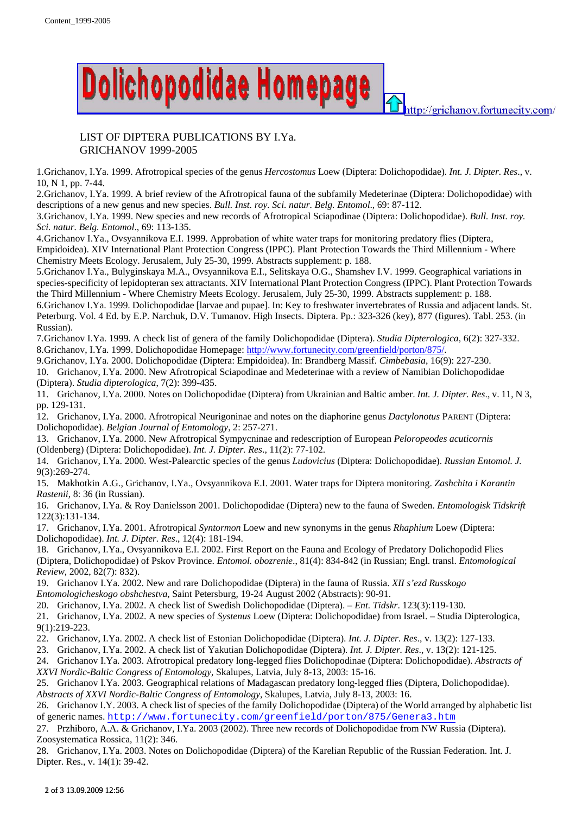

## LIST OF DIPTERA PUBLICATIONS BY I.Ya. GRICHANOV 1999-2005

1.Grichanov, I.Ya. 1999. Afrotropical species of the genus *Hercostomus* Loew (Diptera: Dolichopodidae). *Int. J. Dipter. Res*., v. 10, N 1, pp. 7-44.

2.Grichanov, I.Ya. 1999. A brief review of the Afrotropical fauna of the subfamily Medeterinae (Diptera: Dolichopodidae) with descriptions of a new genus and new species. *Bull. Inst. roy. Sci. natur. Belg. Entomol*., 69: 87-112.

3.Grichanov, I.Ya. 1999. New species and new records of Afrotropical Sciapodinae (Diptera: Dolichopodidae). *Bull. Inst. roy. Sci. natur. Belg. Entomol*., 69: 113-135.

4.Grichanov I.Ya., Ovsyannikova E.I. 1999. Approbation of white water traps for monitoring predatory flies (Diptera, Empidoidea). XIV International Plant Protection Congress (IPPC). Plant Protection Towards the Third Millennium - Where Chemistry Meets Ecology. Jerusalem, July 25-30, 1999. Abstracts supplement: p. 188.

5.Grichanov I.Ya., Bulyginskaya M.A., Ovsyannikova E.I., Selitskaya O.G., Shamshev I.V. 1999. Geographical variations in species-specificity of lepidopteran sex attractants. XIV International Plant Protection Congress (IPPC). Plant Protection Towards the Third Millennium - Where Chemistry Meets Ecology. Jerusalem, July 25-30, 1999. Abstracts supplement: p. 188.

6.Grichanov I.Ya. 1999. Dolichopodidae [larvae and pupae]. In: Key to freshwater invertebrates of Russia and adjacent lands. St. Peterburg. Vol. 4 Ed. by E.P. Narchuk, D.V. Tumanov. High Insects. Diptera. Pp.: 323-326 (key), 877 (figures). Tabl. 253. (in Russian).

7.Grichanov I.Ya. 1999. A check list of genera of the family Dolichopodidae (Diptera). *Studia Dipterologica*, 6(2): 327-332. 8.Grichanov, I.Ya. 1999. Dolichopodidae Homepage: http://www.fortunecity.com/greenfield/porton/875/.

9.Grichanov, I.Ya. 2000. Dolichopodidae (Diptera: Empidoidea). In: Brandberg Massif. *Cimbebasia*, 16(9): 227-230.

10. Grichanov, I.Ya. 2000. New Afrotropical Sciapodinae and Medeterinae with a review of Namibian Dolichopodidae (Diptera). *Studia dipterologica*, 7(2): 399-435.

11. Grichanov, I.Ya. 2000. Notes on Dolichopodidae (Diptera) from Ukrainian and Baltic amber. *Int. J. Dipter. Res*., v. 11, N 3, pp. 129-131.

12. Grichanov, I.Ya. 2000. Afrotropical Neurigoninae and notes on the diaphorine genus *Dactylonotus* PARENT (Diptera: Dolichopodidae). *Belgian Journal of Entomology*, 2: 257-271.

13. Grichanov, I.Ya. 2000. New Afrotropical Sympycninae and redescription of European *Peloropeodes acuticornis* (Oldenberg) (Diptera: Dolichopodidae). *Int. J. Dipter. Res*., 11(2): 77-102.

14. Grichanov, I.Ya. 2000. West-Palearctic species of the genus *Ludovicius* (Diptera: Dolichopodidae). *Russian Entomol. J.*  9(3):269-274.

15. Makhotkin A.G., Grichanov, I.Ya., Ovsyannikova E.I. 2001. Water traps for Diptera monitoring. *Zashchita i Karantin Rastenii*, 8: 36 (in Russian).

16. Grichanov, I.Ya. & Roy Danielsson 2001. Dolichopodidae (Diptera) new to the fauna of Sweden. *Entomologisk Tidskrift* 122(3):131-134.

17. Grichanov, I.Ya. 2001. Afrotropical *Syntormon* Loew and new synonyms in the genus *Rhaphium* Loew (Diptera: Dolichopodidae). *Int. J. Dipter. Res*., 12(4): 181-194.

18. Grichanov, I.Ya., Ovsyannikova E.I. 2002. First Report on the Fauna and Ecology of Predatory Dolichopodid Flies (Diptera, Dolichopodidae) of Pskov Province. *Entomol. obozrenie*., 81(4): 834-842 (in Russian; Engl. transl. *Entomological Review*, 2002, 82(7): 832).

19. Grichanov I.Ya. 2002. New and rare Dolichopodidae (Diptera) in the fauna of Russia. *XII s'ezd Russkogo Entomologicheskogo obshchestva*, Saint Petersburg, 19-24 August 2002 (Abstracts): 90-91.

20. Grichanov, I.Ya. 2002. A check list of Swedish Dolichopodidae (Diptera). – *Ent. Tidskr*. 123(3):119-130.

21. Grichanov, I.Ya. 2002. A new species of *Systenus* Loew (Diptera: Dolichopodidae) from Israel. – Studia Dipterologica, 9(1):219-223.

22. Grichanov, I.Ya. 2002. A check list of Estonian Dolichopodidae (Diptera). *Int. J. Dipter. Res*., v. 13(2): 127-133.

23. Grichanov, I.Ya. 2002. A check list of Yakutian Dolichopodidae (Diptera). *Int. J. Dipter. Res*., v. 13(2): 121-125.

24. Grichanov I.Ya. 2003. Afrotropical predatory long-legged flies Dolichopodinae (Diptera: Dolichopodidae). *Abstracts of XXVI Nordic-Baltic Congress of Entomology*, Skalupes, Latvia, July 8-13, 2003: 15-16.

25. Grichanov I.Ya. 2003. Geographical relations of Madagascan predatory long-legged flies (Diptera, Dolichopodidae). *Abstracts of XXVI Nordic-Baltic Congress of Entomology*, Skalupes, Latvia, July 8-13, 2003: 16.

26. Grichanov I.Y. 2003. A check list of species of the family Dolichopodidae (Diptera) of the World arranged by alphabetic list of generic names. http://www.fortunecity.com/greenfield/porton/875/Genera3.htm

27. Przhiboro, A.A. & Grichanov, I.Ya. 2003 (2002). Three new records of Dolichopodidae from NW Russia (Diptera). Zoosystematica Rossica, 11(2): 346.

28. Grichanov, I.Ya. 2003. Notes on Dolichopodidae (Diptera) of the Karelian Republic of the Russian Federation. Int. J. Dipter. Res., v. 14(1): 39-42.